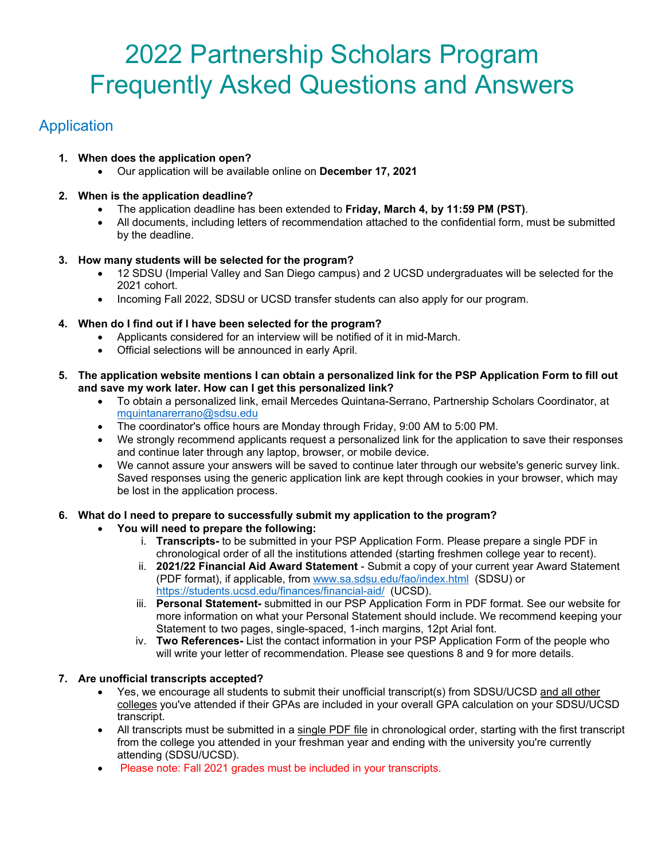# 2022 Partnership Scholars Program Frequently Asked Questions and Answers

# **Application**

# **1. When does the application open?**

• Our application will be available online on **December 17, 2021**

# **2. When is the application deadline?**

- The application deadline has been extended to **Friday, March 4, by 11:59 PM (PST)**.
- All documents, including letters of recommendation attached to the confidential form, must be submitted by the deadline.

## **3. How many students will be selected for the program?**

- 12 SDSU (Imperial Valley and San Diego campus) and 2 UCSD undergraduates will be selected for the 2021 cohort.
- Incoming Fall 2022, SDSU or UCSD transfer students can also apply for our program.

## **4. When do I find out if I have been selected for the program?**

- Applicants considered for an interview will be notified of it in mid-March.
- Official selections will be announced in early April.
- **5. The application website mentions I can obtain a personalized link for the PSP Application Form to fill out and save my work later. How can I get this personalized link?**
	- To obtain a personalized link, email Mercedes Quintana-Serrano, Partnership Scholars Coordinator, at [mquintanarerrano@sdsu.edu](mailto:mquintanarerrano@sdsu.edu)
	- The coordinator's office hours are Monday through Friday, 9:00 AM to 5:00 PM.
	- We strongly recommend applicants request a personalized link for the application to save their responses and continue later through any laptop, browser, or mobile device.
	- We cannot assure your answers will be saved to continue later through our website's generic survey link. Saved responses using the generic application link are kept through cookies in your browser, which may be lost in the application process.

# **6. What do I need to prepare to successfully submit my application to the program?**

- **You will need to prepare the following:**
	- i. **Transcripts-** to be submitted in your PSP Application Form. Please prepare a single PDF in chronological order of all the institutions attended (starting freshmen college year to recent).
	- ii. **2021/22 Financial Aid Award Statement** Submit a copy of your current year Award Statement (PDF format), if applicable, from [www.sa.sdsu.edu/fao/index.html](http://www.sa.sdsu.edu/fao/index.html) (SDSU) or <https://students.ucsd.edu/finances/financial-aid/> (UCSD).
	- iii. **Personal Statement-** submitted in our PSP Application Form in PDF format. See our website for more information on what your Personal Statement should include. We recommend keeping your Statement to two pages, single-spaced, 1-inch margins, 12pt Arial font.
	- iv. **Two References-** List the contact information in your PSP Application Form of the people who will write your letter of recommendation. Please see questions 8 and 9 for more details.

# **7. Are unofficial transcripts accepted?**

- Yes, we encourage all students to submit their unofficial transcript(s) from SDSU/UCSD and all other colleges you've attended if their GPAs are included in your overall GPA calculation on your SDSU/UCSD transcript.
- All transcripts must be submitted in a single PDF file in chronological order, starting with the first transcript from the college you attended in your freshman year and ending with the university you're currently attending (SDSU/UCSD).
- Please note: Fall 2021 grades must be included in your transcripts.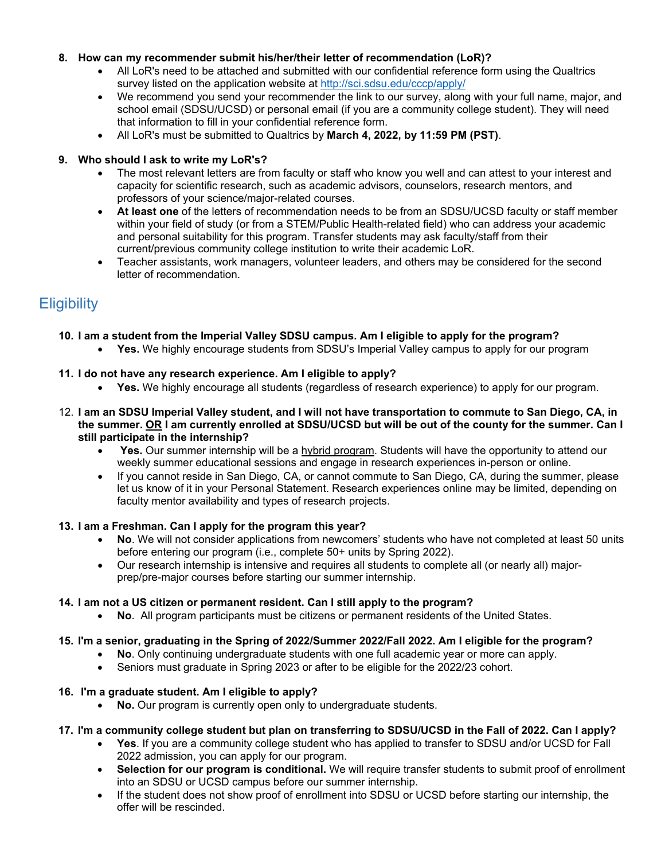## **8. How can my recommender submit his/her/their letter of recommendation (LoR)?**

- All LoR's need to be attached and submitted with our confidential reference form using the Qualtrics survey listed on the application website at<http://sci.sdsu.edu/cccp/apply/>
- We recommend you send your recommender the link to our survey, along with your full name, major, and school email (SDSU/UCSD) or personal email (if you are a community college student). They will need that information to fill in your confidential reference form.
- All LoR's must be submitted to Qualtrics by **March 4, 2022, by 11:59 PM (PST)**.

#### **9. Who should I ask to write my LoR's?**

- The most relevant letters are from faculty or staff who know you well and can attest to your interest and capacity for scientific research, such as academic advisors, counselors, research mentors, and professors of your science/major-related courses.
- **At least one** of the letters of recommendation needs to be from an SDSU/UCSD faculty or staff member within your field of study (or from a STEM/Public Health-related field) who can address your academic and personal suitability for this program. Transfer students may ask faculty/staff from their current/previous community college institution to write their academic LoR.
- Teacher assistants, work managers, volunteer leaders, and others may be considered for the second letter of recommendation.

# **Eligibility**

## **10. I am a student from the Imperial Valley SDSU campus. Am I eligible to apply for the program?**

• **Yes.** We highly encourage students from SDSU's Imperial Valley campus to apply for our program

## **11. I do not have any research experience. Am I eligible to apply?**

- **Yes.** We highly encourage all students (regardless of research experience) to apply for our program.
- 12. **I am an SDSU Imperial Valley student, and I will not have transportation to commute to San Diego, CA, in the summer. OR I am currently enrolled at SDSU/UCSD but will be out of the county for the summer. Can I still participate in the internship?**
	- **Yes.** Our summer internship will be a hybrid program. Students will have the opportunity to attend our weekly summer educational sessions and engage in research experiences in-person or online.
	- If you cannot reside in San Diego, CA, or cannot commute to San Diego, CA, during the summer, please let us know of it in your Personal Statement. Research experiences online may be limited, depending on faculty mentor availability and types of research projects.

#### **13. I am a Freshman. Can I apply for the program this year?**

- **No**. We will not consider applications from newcomers' students who have not completed at least 50 units before entering our program (i.e., complete 50+ units by Spring 2022).
- Our research internship is intensive and requires all students to complete all (or nearly all) majorprep/pre-major courses before starting our summer internship.

#### **14. I am not a US citizen or permanent resident. Can I still apply to the program?**

• **No**. All program participants must be citizens or permanent residents of the United States.

#### **15. I'm a senior, graduating in the Spring of 2022/Summer 2022/Fall 2022. Am I eligible for the program?**

- **No**. Only continuing undergraduate students with one full academic year or more can apply.
- Seniors must graduate in Spring 2023 or after to be eligible for the 2022/23 cohort.

#### **16. I'm a graduate student. Am I eligible to apply?**

• **No.** Our program is currently open only to undergraduate students.

# **17. I'm a community college student but plan on transferring to SDSU/UCSD in the Fall of 2022. Can I apply?**

- **Yes**. If you are a community college student who has applied to transfer to SDSU and/or UCSD for Fall 2022 admission, you can apply for our program.
- **Selection for our program is conditional.** We will require transfer students to submit proof of enrollment into an SDSU or UCSD campus before our summer internship.
- If the student does not show proof of enrollment into SDSU or UCSD before starting our internship, the offer will be rescinded.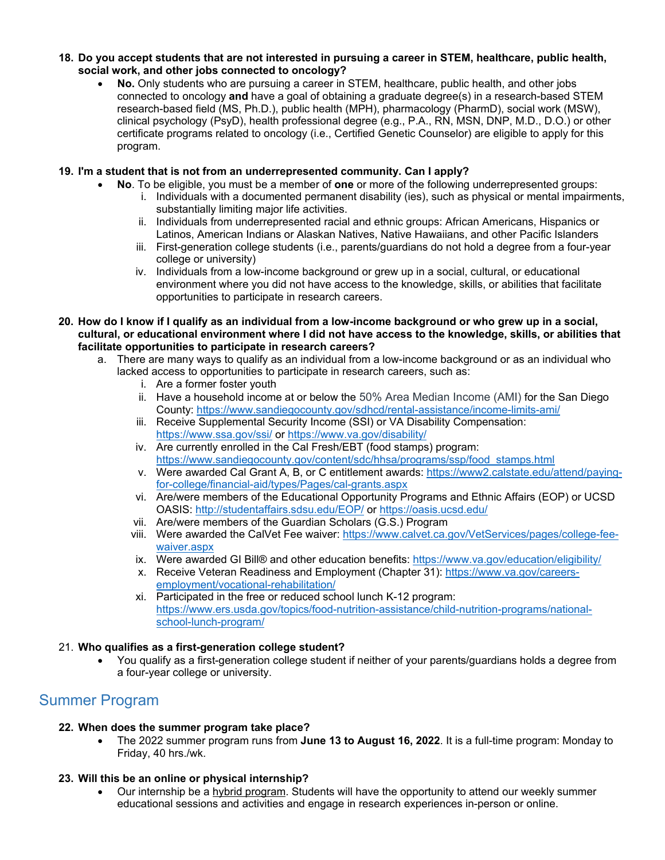- **18. Do you accept students that are not interested in pursuing a career in STEM, healthcare, public health, social work, and other jobs connected to oncology?**
	- **No.** Only students who are pursuing a career in STEM, healthcare, public health, and other jobs connected to oncology **and** have a goal of obtaining a graduate degree(s) in a research-based STEM research-based field (MS, Ph.D.), public health (MPH), pharmacology (PharmD), social work (MSW), clinical psychology (PsyD), health professional degree (e.g., P.A., RN, MSN, DNP, M.D., D.O.) or other certificate programs related to oncology (i.e., Certified Genetic Counselor) are eligible to apply for this program.

#### **19. I'm a student that is not from an underrepresented community. Can I apply?**

- **No**. To be eligible, you must be a member of **one** or more of the following underrepresented groups:
	- i. Individuals with a documented permanent disability (ies), such as physical or mental impairments, substantially limiting major life activities.
	- ii. Individuals from underrepresented racial and ethnic groups: African Americans, Hispanics or Latinos, American Indians or Alaskan Natives, Native Hawaiians, and other Pacific Islanders
	- iii. First-generation college students (i.e., parents/guardians do not hold a degree from a four-year college or university)
	- iv. Individuals from a low-income background or grew up in a social, cultural, or educational environment where you did not have access to the knowledge, skills, or abilities that facilitate opportunities to participate in research careers.
- **20. How do I know if I qualify as an individual from a low-income background or who grew up in a social, cultural, or educational environment where I did not have access to the knowledge, skills, or abilities that facilitate opportunities to participate in research careers?** 
	- a. There are many ways to qualify as an individual from a low-income background or as an individual who lacked access to opportunities to participate in research careers, such as:
		- i. Are a former foster youth
		- ii. Have a household income at or below the 50% Area Median Income (AMI) for the San Diego County:<https://www.sandiegocounty.gov/sdhcd/rental-assistance/income-limits-ami/>
		- iii. Receive Supplemental Security Income (SSI) or VA Disability Compensation: <https://www.ssa.gov/ssi/> or<https://www.va.gov/disability/>
		- iv. Are currently enrolled in the Cal Fresh/EBT (food stamps) program: [https://www.sandiegocounty.gov/content/sdc/hhsa/programs/ssp/food\\_stamps.html](https://www.sandiegocounty.gov/content/sdc/hhsa/programs/ssp/food_stamps.html)
		- v. Were awarded Cal Grant A, B, or C entitlement awards: [https://www2.calstate.edu/attend/paying](https://www2.calstate.edu/attend/paying-for-college/financial-aid/types/Pages/cal-grants.aspx)[for-college/financial-aid/types/Pages/cal-grants.aspx](https://www2.calstate.edu/attend/paying-for-college/financial-aid/types/Pages/cal-grants.aspx)
		- vi. Are/were members of the Educational Opportunity Programs and Ethnic Affairs (EOP) or UCSD OASIS:<http://studentaffairs.sdsu.edu/EOP/> or<https://oasis.ucsd.edu/>
		- vii. Are/were members of the Guardian Scholars (G.S.) Program
		- viii. Were awarded the CalVet Fee waiver[: https://www.calvet.ca.gov/VetServices/pages/college-fee](https://www.calvet.ca.gov/VetServices/pages/college-fee-waiver.aspx)[waiver.aspx](https://www.calvet.ca.gov/VetServices/pages/college-fee-waiver.aspx)
		- ix. Were awarded GI Bill® and other education benefits:<https://www.va.gov/education/eligibility/>
		- x. Receive Veteran Readiness and Employment (Chapter 31): [https://www.va.gov/careers](https://www.va.gov/careers-employment/vocational-rehabilitation/)[employment/vocational-rehabilitation/](https://www.va.gov/careers-employment/vocational-rehabilitation/)
		- xi. Participated in the free or reduced school lunch K-12 program: [https://www.ers.usda.gov/topics/food-nutrition-assistance/child-nutrition-programs/national](https://www.ers.usda.gov/topics/food-nutrition-assistance/child-nutrition-programs/national-school-lunch-program/)[school-lunch-program/](https://www.ers.usda.gov/topics/food-nutrition-assistance/child-nutrition-programs/national-school-lunch-program/)

#### 21. **Who qualifies as a first-generation college student?**

• You qualify as a first-generation college student if neither of your parents/guardians holds a degree from a four-year college or university.

# Summer Program

#### **22. When does the summer program take place?**

• The 2022 summer program runs from **June 13 to August 16, 2022**. It is a full-time program: Monday to Friday, 40 hrs./wk.

#### **23. Will this be an online or physical internship?**

• Our internship be a hybrid program. Students will have the opportunity to attend our weekly summer educational sessions and activities and engage in research experiences in-person or online.